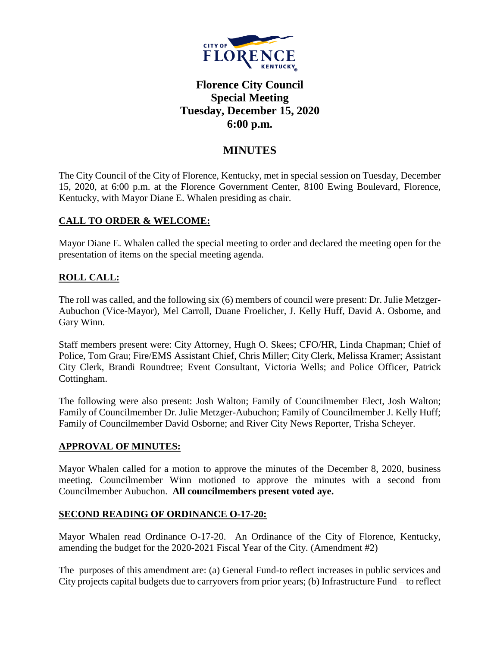

# **Florence City Council Special Meeting Tuesday, December 15, 2020 6:00 p.m.**

## **MINUTES**

The City Council of the City of Florence, Kentucky, met in special session on Tuesday, December 15, 2020, at 6:00 p.m. at the Florence Government Center, 8100 Ewing Boulevard, Florence, Kentucky, with Mayor Diane E. Whalen presiding as chair.

## **CALL TO ORDER & WELCOME:**

Mayor Diane E. Whalen called the special meeting to order and declared the meeting open for the presentation of items on the special meeting agenda.

## **ROLL CALL:**

The roll was called, and the following six (6) members of council were present: Dr. Julie Metzger-Aubuchon (Vice-Mayor), Mel Carroll, Duane Froelicher, J. Kelly Huff, David A. Osborne, and Gary Winn.

Staff members present were: City Attorney, Hugh O. Skees; CFO/HR, Linda Chapman; Chief of Police, Tom Grau; Fire/EMS Assistant Chief, Chris Miller; City Clerk, Melissa Kramer; Assistant City Clerk, Brandi Roundtree; Event Consultant, Victoria Wells; and Police Officer, Patrick Cottingham.

The following were also present: Josh Walton; Family of Councilmember Elect, Josh Walton; Family of Councilmember Dr. Julie Metzger-Aubuchon; Family of Councilmember J. Kelly Huff; Family of Councilmember David Osborne; and River City News Reporter, Trisha Scheyer.

## **APPROVAL OF MINUTES:**

Mayor Whalen called for a motion to approve the minutes of the December 8, 2020, business meeting. Councilmember Winn motioned to approve the minutes with a second from Councilmember Aubuchon. **All councilmembers present voted aye.** 

## **SECOND READING OF ORDINANCE O-17-20:**

Mayor Whalen read Ordinance O-17-20. An Ordinance of the City of Florence, Kentucky, amending the budget for the 2020-2021 Fiscal Year of the City. (Amendment #2)

The purposes of this amendment are: (a) General Fund-to reflect increases in public services and City projects capital budgets due to carryovers from prior years; (b) Infrastructure Fund – to reflect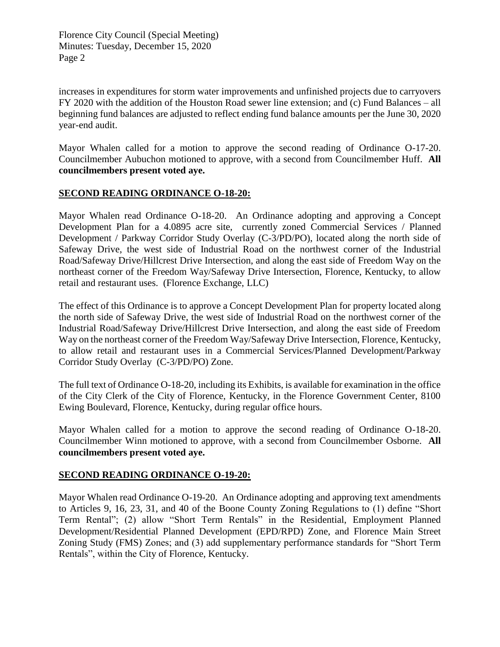increases in expenditures for storm water improvements and unfinished projects due to carryovers FY 2020 with the addition of the Houston Road sewer line extension; and (c) Fund Balances – all beginning fund balances are adjusted to reflect ending fund balance amounts per the June 30, 2020 year-end audit.

Mayor Whalen called for a motion to approve the second reading of Ordinance O-17-20. Councilmember Aubuchon motioned to approve, with a second from Councilmember Huff. **All councilmembers present voted aye.** 

#### **SECOND READING ORDINANCE O-18-20:**

Mayor Whalen read Ordinance O-18-20. An Ordinance adopting and approving a Concept Development Plan for a 4.0895 acre site, currently zoned Commercial Services / Planned Development / Parkway Corridor Study Overlay (C-3/PD/PO), located along the north side of Safeway Drive, the west side of Industrial Road on the northwest corner of the Industrial Road/Safeway Drive/Hillcrest Drive Intersection, and along the east side of Freedom Way on the northeast corner of the Freedom Way/Safeway Drive Intersection, Florence, Kentucky, to allow retail and restaurant uses. (Florence Exchange, LLC)

The effect of this Ordinance is to approve a Concept Development Plan for property located along the north side of Safeway Drive, the west side of Industrial Road on the northwest corner of the Industrial Road/Safeway Drive/Hillcrest Drive Intersection, and along the east side of Freedom Way on the northeast corner of the Freedom Way/Safeway Drive Intersection, Florence, Kentucky, to allow retail and restaurant uses in a Commercial Services/Planned Development/Parkway Corridor Study Overlay (C-3/PD/PO) Zone.

The full text of Ordinance O-18-20, including its Exhibits, is available for examination in the office of the City Clerk of the City of Florence, Kentucky, in the Florence Government Center, 8100 Ewing Boulevard, Florence, Kentucky, during regular office hours.

Mayor Whalen called for a motion to approve the second reading of Ordinance O-18-20. Councilmember Winn motioned to approve, with a second from Councilmember Osborne. **All councilmembers present voted aye.** 

#### **SECOND READING ORDINANCE O-19-20:**

Mayor Whalen read Ordinance O-19-20. An Ordinance adopting and approving text amendments to Articles 9, 16, 23, 31, and 40 of the Boone County Zoning Regulations to (1) define "Short Term Rental"; (2) allow "Short Term Rentals" in the Residential, Employment Planned Development/Residential Planned Development (EPD/RPD) Zone, and Florence Main Street Zoning Study (FMS) Zones; and (3) add supplementary performance standards for "Short Term Rentals", within the City of Florence, Kentucky.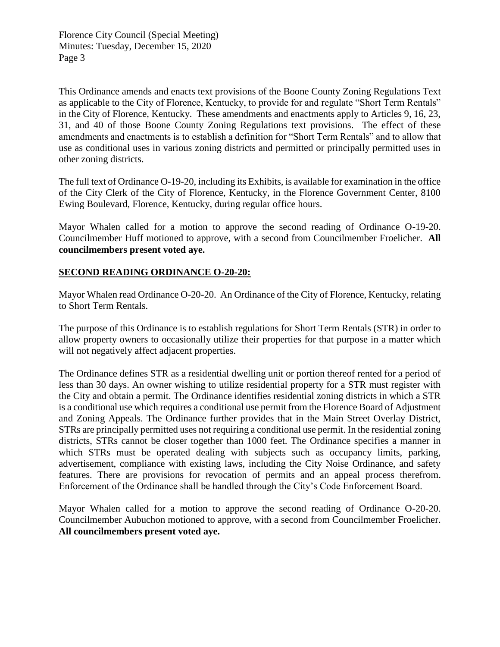This Ordinance amends and enacts text provisions of the Boone County Zoning Regulations Text as applicable to the City of Florence, Kentucky, to provide for and regulate "Short Term Rentals" in the City of Florence, Kentucky. These amendments and enactments apply to Articles 9, 16, 23, 31, and 40 of those Boone County Zoning Regulations text provisions. The effect of these amendments and enactments is to establish a definition for "Short Term Rentals" and to allow that use as conditional uses in various zoning districts and permitted or principally permitted uses in other zoning districts.

The full text of Ordinance O-19-20, including its Exhibits, is available for examination in the office of the City Clerk of the City of Florence, Kentucky, in the Florence Government Center, 8100 Ewing Boulevard, Florence, Kentucky, during regular office hours.

Mayor Whalen called for a motion to approve the second reading of Ordinance O-19-20. Councilmember Huff motioned to approve, with a second from Councilmember Froelicher. **All councilmembers present voted aye.** 

## **SECOND READING ORDINANCE O-20-20:**

Mayor Whalen read Ordinance O-20-20. An Ordinance of the City of Florence, Kentucky, relating to Short Term Rentals.

The purpose of this Ordinance is to establish regulations for Short Term Rentals (STR) in order to allow property owners to occasionally utilize their properties for that purpose in a matter which will not negatively affect adjacent properties.

The Ordinance defines STR as a residential dwelling unit or portion thereof rented for a period of less than 30 days. An owner wishing to utilize residential property for a STR must register with the City and obtain a permit. The Ordinance identifies residential zoning districts in which a STR is a conditional use which requires a conditional use permit from the Florence Board of Adjustment and Zoning Appeals. The Ordinance further provides that in the Main Street Overlay District, STRs are principally permitted uses not requiring a conditional use permit. In the residential zoning districts, STRs cannot be closer together than 1000 feet. The Ordinance specifies a manner in which STRs must be operated dealing with subjects such as occupancy limits, parking, advertisement, compliance with existing laws, including the City Noise Ordinance, and safety features. There are provisions for revocation of permits and an appeal process therefrom. Enforcement of the Ordinance shall be handled through the City's Code Enforcement Board.

Mayor Whalen called for a motion to approve the second reading of Ordinance O-20-20. Councilmember Aubuchon motioned to approve, with a second from Councilmember Froelicher. **All councilmembers present voted aye.**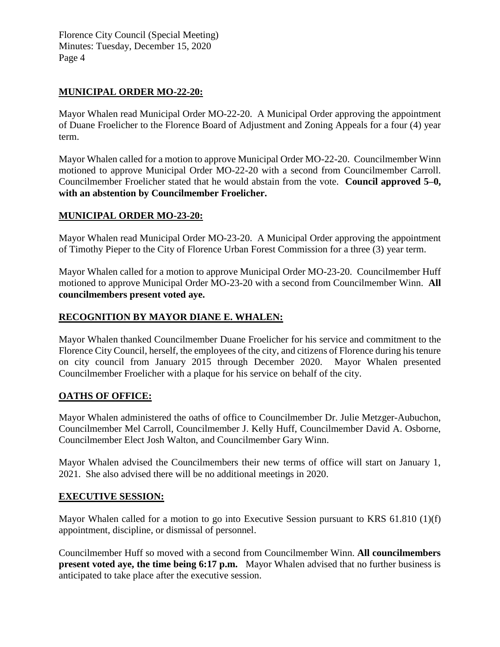### **MUNICIPAL ORDER MO-22-20:**

Mayor Whalen read Municipal Order MO-22-20. A Municipal Order approving the appointment of Duane Froelicher to the Florence Board of Adjustment and Zoning Appeals for a four (4) year term.

Mayor Whalen called for a motion to approve Municipal Order MO-22-20. Councilmember Winn motioned to approve Municipal Order MO-22-20 with a second from Councilmember Carroll. Councilmember Froelicher stated that he would abstain from the vote. **Council approved 5–0, with an abstention by Councilmember Froelicher.**

#### **MUNICIPAL ORDER MO-23-20:**

Mayor Whalen read Municipal Order MO-23-20. A Municipal Order approving the appointment of Timothy Pieper to the City of Florence Urban Forest Commission for a three (3) year term.

Mayor Whalen called for a motion to approve Municipal Order MO-23-20. Councilmember Huff motioned to approve Municipal Order MO-23-20 with a second from Councilmember Winn. **All councilmembers present voted aye.**

#### **RECOGNITION BY MAYOR DIANE E. WHALEN:**

Mayor Whalen thanked Councilmember Duane Froelicher for his service and commitment to the Florence City Council, herself, the employees of the city, and citizens of Florence during his tenure on city council from January 2015 through December 2020. Mayor Whalen presented Councilmember Froelicher with a plaque for his service on behalf of the city.

#### **OATHS OF OFFICE:**

Mayor Whalen administered the oaths of office to Councilmember Dr. Julie Metzger-Aubuchon, Councilmember Mel Carroll, Councilmember J. Kelly Huff, Councilmember David A. Osborne, Councilmember Elect Josh Walton, and Councilmember Gary Winn.

Mayor Whalen advised the Councilmembers their new terms of office will start on January 1, 2021. She also advised there will be no additional meetings in 2020.

#### **EXECUTIVE SESSION:**

Mayor Whalen called for a motion to go into Executive Session pursuant to KRS 61.810 (1)(f) appointment, discipline, or dismissal of personnel.

Councilmember Huff so moved with a second from Councilmember Winn. **All councilmembers present voted aye, the time being 6:17 p.m.** Mayor Whalen advised that no further business is anticipated to take place after the executive session.